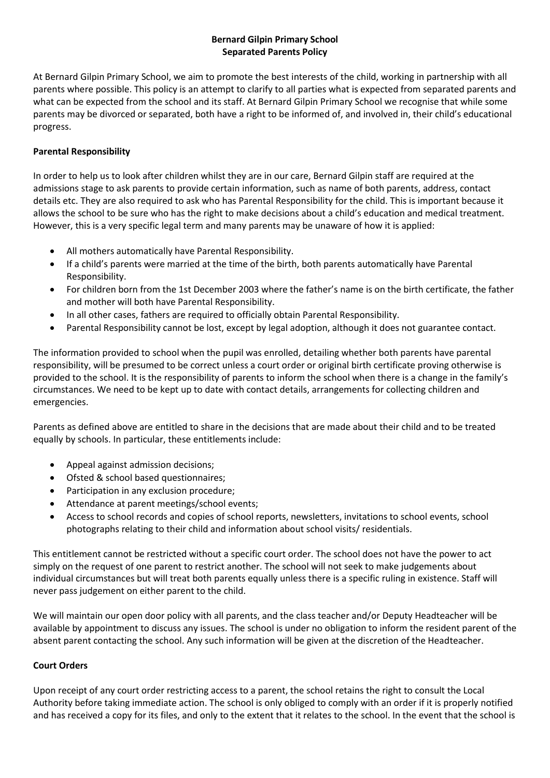# **Bernard Gilpin Primary School Separated Parents Policy**

At Bernard Gilpin Primary School, we aim to promote the best interests of the child, working in partnership with all parents where possible. This policy is an attempt to clarify to all parties what is expected from separated parents and what can be expected from the school and its staff. At Bernard Gilpin Primary School we recognise that while some parents may be divorced or separated, both have a right to be informed of, and involved in, their child's educational progress.

# **Parental Responsibility**

In order to help us to look after children whilst they are in our care, Bernard Gilpin staff are required at the admissions stage to ask parents to provide certain information, such as name of both parents, address, contact details etc. They are also required to ask who has Parental Responsibility for the child. This is important because it allows the school to be sure who has the right to make decisions about a child's education and medical treatment. However, this is a very specific legal term and many parents may be unaware of how it is applied:

- All mothers automatically have Parental Responsibility.
- If a child's parents were married at the time of the birth, both parents automatically have Parental Responsibility.
- For children born from the 1st December 2003 where the father's name is on the birth certificate, the father and mother will both have Parental Responsibility.
- In all other cases, fathers are required to officially obtain Parental Responsibility.
- Parental Responsibility cannot be lost, except by legal adoption, although it does not guarantee contact.

The information provided to school when the pupil was enrolled, detailing whether both parents have parental responsibility, will be presumed to be correct unless a court order or original birth certificate proving otherwise is provided to the school. It is the responsibility of parents to inform the school when there is a change in the family's circumstances. We need to be kept up to date with contact details, arrangements for collecting children and emergencies.

Parents as defined above are entitled to share in the decisions that are made about their child and to be treated equally by schools. In particular, these entitlements include:

- Appeal against admission decisions;
- Ofsted & school based questionnaires;
- Participation in any exclusion procedure;
- Attendance at parent meetings/school events;
- Access to school records and copies of school reports, newsletters, invitations to school events, school photographs relating to their child and information about school visits/ residentials.

This entitlement cannot be restricted without a specific court order. The school does not have the power to act simply on the request of one parent to restrict another. The school will not seek to make judgements about individual circumstances but will treat both parents equally unless there is a specific ruling in existence. Staff will never pass judgement on either parent to the child.

We will maintain our open door policy with all parents, and the class teacher and/or Deputy Headteacher will be available by appointment to discuss any issues. The school is under no obligation to inform the resident parent of the absent parent contacting the school. Any such information will be given at the discretion of the Headteacher.

### **Court Orders**

Upon receipt of any court order restricting access to a parent, the school retains the right to consult the Local Authority before taking immediate action. The school is only obliged to comply with an order if it is properly notified and has received a copy for its files, and only to the extent that it relates to the school. In the event that the school is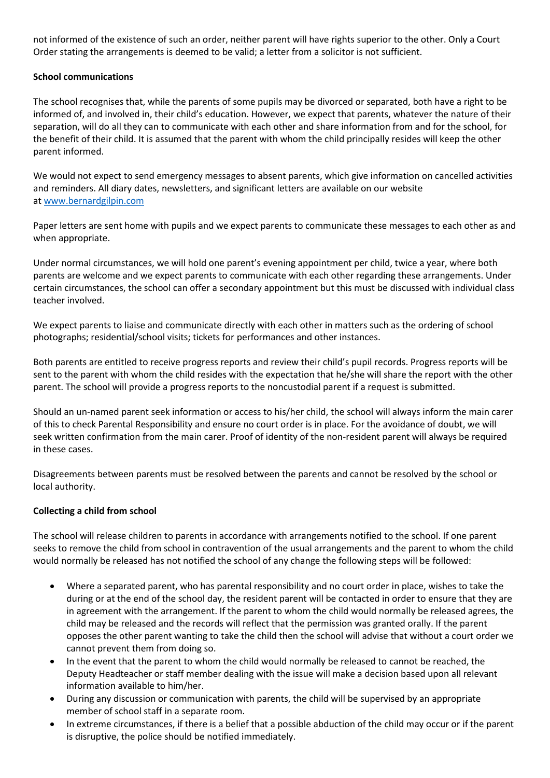not informed of the existence of such an order, neither parent will have rights superior to the other. Only a Court Order stating the arrangements is deemed to be valid; a letter from a solicitor is not sufficient.

### **School communications**

The school recognises that, while the parents of some pupils may be divorced or separated, both have a right to be informed of, and involved in, their child's education. However, we expect that parents, whatever the nature of their separation, will do all they can to communicate with each other and share information from and for the school, for the benefit of their child. It is assumed that the parent with whom the child principally resides will keep the other parent informed.

We would not expect to send emergency messages to absent parents, which give information on cancelled activities and reminders. All diary dates, newsletters, and significant letters are available on our website at [www.bernardgilpin.com](http://www.bernardgilpin.com/)

Paper letters are sent home with pupils and we expect parents to communicate these messages to each other as and when appropriate.

Under normal circumstances, we will hold one parent's evening appointment per child, twice a year, where both parents are welcome and we expect parents to communicate with each other regarding these arrangements. Under certain circumstances, the school can offer a secondary appointment but this must be discussed with individual class teacher involved.

We expect parents to liaise and communicate directly with each other in matters such as the ordering of school photographs; residential/school visits; tickets for performances and other instances.

Both parents are entitled to receive progress reports and review their child's pupil records. Progress reports will be sent to the parent with whom the child resides with the expectation that he/she will share the report with the other parent. The school will provide a progress reports to the noncustodial parent if a request is submitted.

Should an un-named parent seek information or access to his/her child, the school will always inform the main carer of this to check Parental Responsibility and ensure no court order is in place. For the avoidance of doubt, we will seek written confirmation from the main carer. Proof of identity of the non-resident parent will always be required in these cases.

Disagreements between parents must be resolved between the parents and cannot be resolved by the school or local authority.

### **Collecting a child from school**

The school will release children to parents in accordance with arrangements notified to the school. If one parent seeks to remove the child from school in contravention of the usual arrangements and the parent to whom the child would normally be released has not notified the school of any change the following steps will be followed:

- Where a separated parent, who has parental responsibility and no court order in place, wishes to take the during or at the end of the school day, the resident parent will be contacted in order to ensure that they are in agreement with the arrangement. If the parent to whom the child would normally be released agrees, the child may be released and the records will reflect that the permission was granted orally. If the parent opposes the other parent wanting to take the child then the school will advise that without a court order we cannot prevent them from doing so.
- In the event that the parent to whom the child would normally be released to cannot be reached, the Deputy Headteacher or staff member dealing with the issue will make a decision based upon all relevant information available to him/her.
- During any discussion or communication with parents, the child will be supervised by an appropriate member of school staff in a separate room.
- In extreme circumstances, if there is a belief that a possible abduction of the child may occur or if the parent is disruptive, the police should be notified immediately.